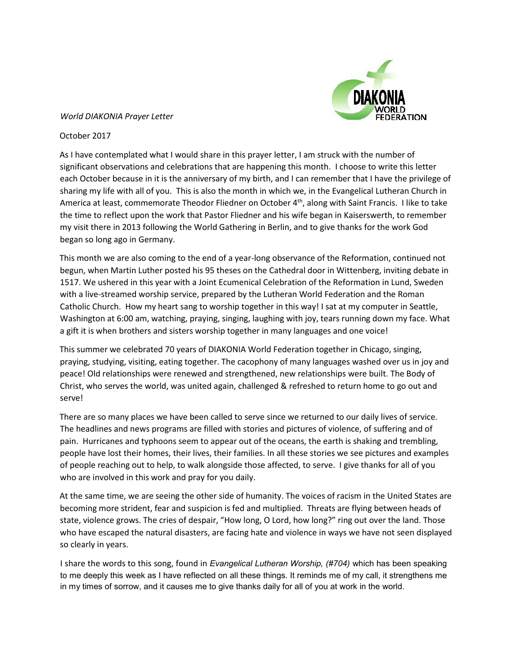# **TION**

# *World DIAKONIA Prayer Letter*

## October 2017

As I have contemplated what I would share in this prayer letter, I am struck with the number of significant observations and celebrations that are happening this month. I choose to write this letter each October because in it is the anniversary of my birth, and I can remember that I have the privilege of sharing my life with all of you. This is also the month in which we, in the Evangelical Lutheran Church in America at least, commemorate Theodor Fliedner on October 4<sup>th</sup>, along with Saint Francis. I like to take the time to reflect upon the work that Pastor Fliedner and his wife began in Kaiserswerth, to remember my visit there in 2013 following the World Gathering in Berlin, and to give thanks for the work God began so long ago in Germany.

This month we are also coming to the end of a year-long observance of the Reformation, continued not begun, when Martin Luther posted his 95 theses on the Cathedral door in Wittenberg, inviting debate in 1517. We ushered in this year with a Joint Ecumenical Celebration of the Reformation in Lund, Sweden with a live-streamed worship service, prepared by the Lutheran World Federation and the Roman Catholic Church. How my heart sang to worship together in this way! I sat at my computer in Seattle, Washington at 6:00 am, watching, praying, singing, laughing with joy, tears running down my face. What a gift it is when brothers and sisters worship together in many languages and one voice!

This summer we celebrated 70 years of DIAKONIA World Federation together in Chicago, singing, praying, studying, visiting, eating together. The cacophony of many languages washed over us in joy and peace! Old relationships were renewed and strengthened, new relationships were built. The Body of Christ, who serves the world, was united again, challenged & refreshed to return home to go out and serve!

There are so many places we have been called to serve since we returned to our daily lives of service. The headlines and news programs are filled with stories and pictures of violence, of suffering and of pain. Hurricanes and typhoons seem to appear out of the oceans, the earth is shaking and trembling, people have lost their homes, their lives, their families. In all these stories we see pictures and examples of people reaching out to help, to walk alongside those affected, to serve. I give thanks for all of you who are involved in this work and pray for you daily.

At the same time, we are seeing the other side of humanity. The voices of racism in the United States are becoming more strident, fear and suspicion is fed and multiplied. Threats are flying between heads of state, violence grows. The cries of despair, "How long, O Lord, how long?" ring out over the land. Those who have escaped the natural disasters, are facing hate and violence in ways we have not seen displayed so clearly in years.

I share the words to this song, found in *Evangelical Lutheran Worship, (#704)* which has been speaking to me deeply this week as I have reflected on all these things. It reminds me of my call, it strengthens me in my times of sorrow, and it causes me to give thanks daily for all of you at work in the world.